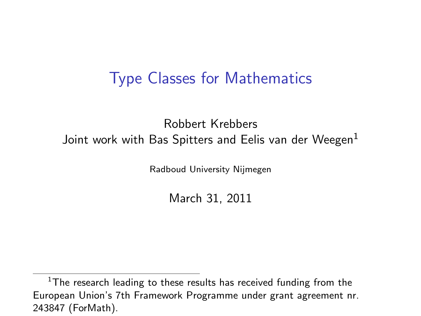### Type Classes for Mathematics

#### Robbert Krebbers Joint work with Bas Spitters and Eelis van der Weegen<sup>1</sup>

Radboud University Nijmegen

March 31, 2011

 $1$ The research leading to these results has received funding from the European Union's 7th Framework Programme under grant agreement nr. 243847 (ForMath).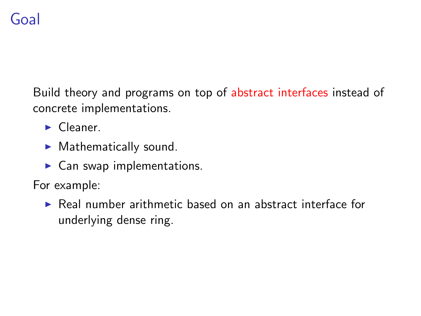# Goal

Build theory and programs on top of abstract interfaces instead of concrete implementations.

- $\blacktriangleright$  Cleaner.
- $\blacktriangleright$  Mathematically sound.
- $\blacktriangleright$  Can swap implementations.

For example:

 $\triangleright$  Real number arithmetic based on an abstract interface for underlying dense ring.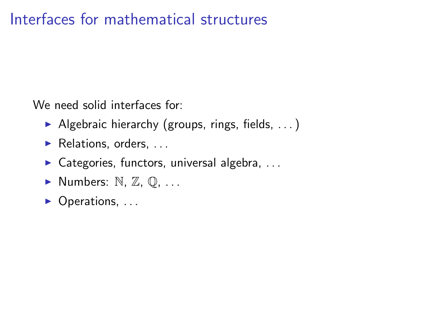### Interfaces for mathematical structures

We need solid interfaces for:

- Algebraic hierarchy (groups, rings, fields,  $\dots$ )
- $\blacktriangleright$  Relations, orders, ...
- $\triangleright$  Categories, functors, universal algebra, ...
- $\blacktriangleright$  Numbers: N, Z, Q, ...
- $\triangleright$  Operations, ...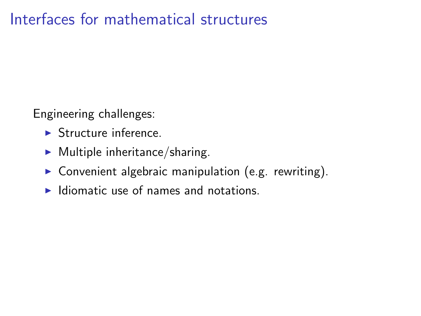### Interfaces for mathematical structures

Engineering challenges:

- $\blacktriangleright$  Structure inference
- $\blacktriangleright$  Multiple inheritance/sharing.
- $\triangleright$  Convenient algebraic manipulation (e.g. rewriting).
- $\blacktriangleright$  Idiomatic use of names and notations.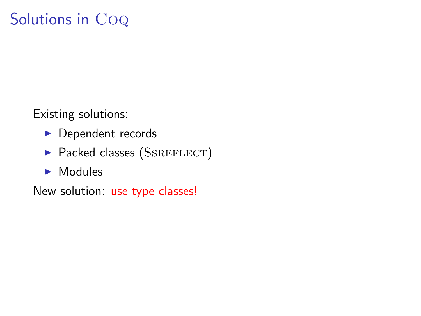# Solutions in Co<sub>Q</sub>

Existing solutions:

- $\blacktriangleright$  Dependent records
- $\blacktriangleright$  Packed classes (SSREFLECT)
- $\blacktriangleright$  Modules

New solution: use type classes!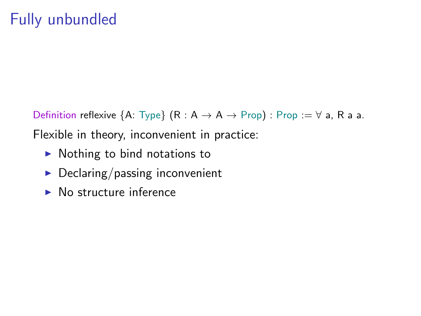Definition reflexive  ${A: Type}$   $(R: A \rightarrow A \rightarrow Prop)$ : Prop :=  $\forall$  a, R a a. Flexible in theory, inconvenient in practice:

- $\blacktriangleright$  Nothing to bind notations to
- $\blacktriangleright$  Declaring/passing inconvenient
- $\triangleright$  No structure inference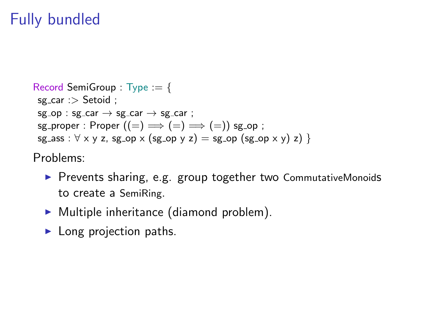# Fully bundled

```
Record SemiGroup : Type := {
sg_{car} : > Setoid ;
sg\_op : sg\_car \rightarrow sg\_car \rightarrow sg\_car;
sg_proper : Proper ((=) \implies (=) \implies (=)) sg_op;
sg_ass : \forall x y z, sg_op x (sg_op y z) = sg_op (sg_op x y) z) }
```
Problems:

- ▶ Prevents sharing, e.g. group together two CommutativeMonoids to create a SemiRing.
- $\triangleright$  Multiple inheritance (diamond problem).
- $\blacktriangleright$  Long projection paths.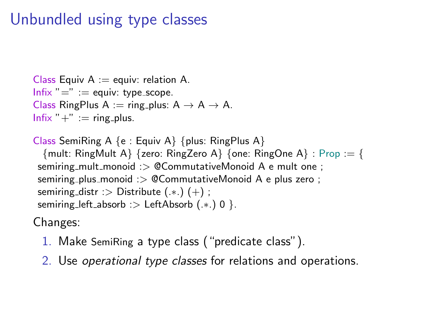# Unbundled using type classes

```
Class Equiv A := equiv: relation A.
Infix "=" := equiv: type_scope.
Class RingPlus A := ring_plus: A \rightarrow A \rightarrow A.
Infix " +" := ring_plus.
```

```
Class SemiRing A \{e : Equiv A\} \{plus RingPlus A\}{ mult: RingMult A{ } {zero: RingZero A{ } {one: RingOne A{ } : Prop := {
 semiring_mult_monoid :> @CommutativeMonoid A e mult one ;
 semiring plus monoid :> @CommutativeMonoid A e plus zero ;
 semiring_distr :> Distribute (*.) (+);
 semiring_left_absorb :> LeftAbsorb (.*.) 0 }.
```
Changes:

- 1. Make SemiRing a type class ("predicate class").
- 2. Use operational type classes for relations and operations.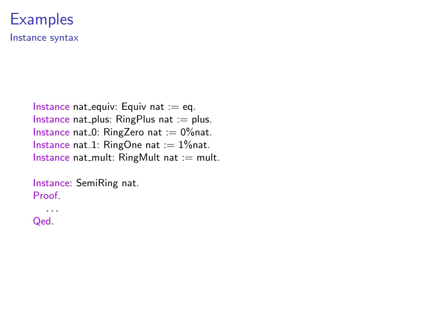#### **Examples** Instance syntax

Instance nat equiv: Equiv nat  $:=$  eq. Instance nat plus:  $RingPlus$  nat := plus. Instance nat  $0$ : RingZero nat := 0% nat. Instance nat  $1:$  RingOne nat  $:= 1\%$ nat. Instance nat\_mult:  $RingMult$  nat := mult.

Instance: SemiRing nat. Proof.

. . . Qed.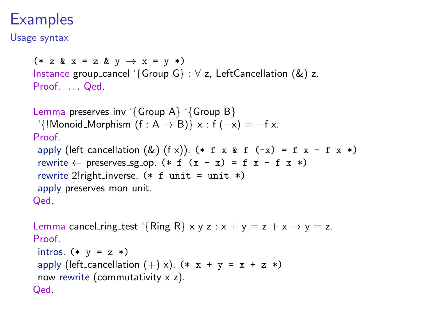# **Examples**

Usage syntax

```
(* z & x = z & y \rightarrow x = y *)Instance group_cancel '{Group G} : \forall z, LeftCancellation (&) z.
Proof ... Oed
Lemma preserves inv '{Group A} '{Group B}
 '{!Monoid_Morphism (f : A \rightarrow B)} x : f (-x) = -f x.
Proof
 apply (left_cancellation (\&) (f \times)). (* f x k f (-x) = f x - f x *)
 rewrite \leftarrow preserves_sg_op. (* f (x - x) = f x - f x *)rewrite 2!right_inverse. (* f unit = unit *)apply preserves_mon_unit.
Qed.
Lemma cancel_ring_test '{Ring R} x y z : x + y = z + x \rightarrow y = z.
```

```
Proof
 intros. (* y = z *)apply (left_cancellation (+) x). (* x + y = x + z *)
 now rewrite (commutativity \times z).
Qed.
```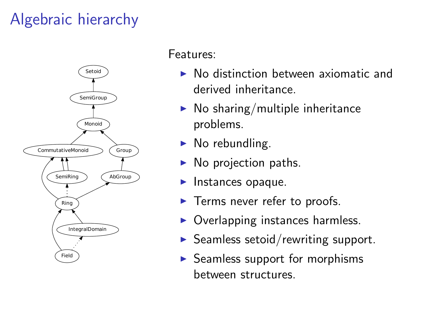# Algebraic hierarchy



#### Features:

- $\triangleright$  No distinction between axiomatic and derived inheritance.
- $\blacktriangleright$  No sharing/multiple inheritance problems.
- $\blacktriangleright$  No rebundling.
- $\triangleright$  No projection paths.
- $\blacktriangleright$  Instances opaque.
- $\blacktriangleright$  Terms never refer to proofs.
- Overlapping instances harmless.
- $\triangleright$  Seamless setoid/rewriting support.
- $\triangleright$  Seamless support for morphisms between structures.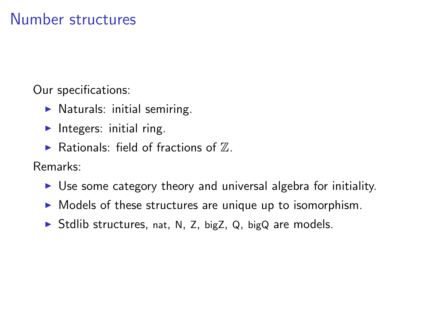### Number structures

Our specifications:

- $\blacktriangleright$  Naturals: initial semiring.
- Integers: initial ring.
- $\blacktriangleright$  Rationals: field of fractions of  $\mathbb{Z}$ .

Remarks:

- $\triangleright$  Use some category theory and universal algebra for initiality.
- $\triangleright$  Models of these structures are unique up to isomorphism.
- $\triangleright$  Stdlib structures, nat, N, Z, bigZ, Q, bigQ are models.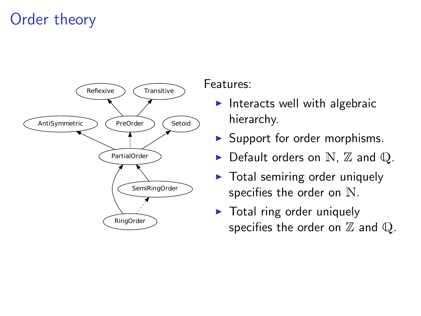# Order theory



Features:

- Interacts well with algebraic hierarchy.
- $\blacktriangleright$  Support for order morphisms.
- $\blacktriangleright$  Default orders on N,  $\mathbb Z$  and  $\mathbb Q$ .
- $\triangleright$  Total semiring order uniquely specifies the order on N.
- $\triangleright$  Total ring order uniquely specifies the order on  $\mathbb Z$  and  $\mathbb Q$ .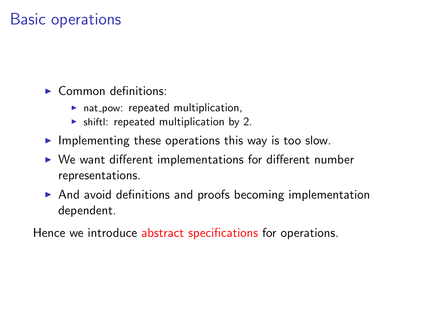### Basic operations

 $\triangleright$  Common definitions:

- $\blacktriangleright$  nat pow: repeated multiplication,
- $\triangleright$  shiftl: repeated multiplication by 2.
- Implementing these operations this way is too slow.
- $\triangleright$  We want different implementations for different number representations.
- $\triangleright$  And avoid definitions and proofs becoming implementation dependent.

Hence we introduce abstract specifications for operations.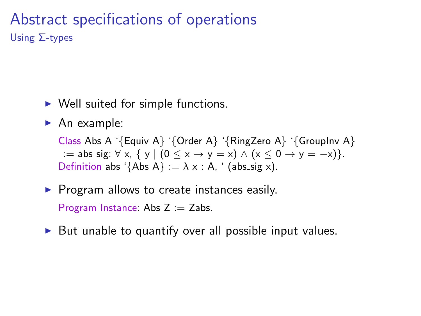### Abstract specifications of operations Using Σ-types

- $\triangleright$  Well suited for simple functions.
- $\blacktriangleright$  An example:

Class Abs A '{Equiv A} '{Order A} '{RingZero A} '{GroupInv A} := abs\_sig:  $\forall x, \{ y \mid (0 \le x \rightarrow y = x) \land (x \le 0 \rightarrow y = -x) \}.$ Definition abs '{Abs A} :=  $\lambda$  x : A, ' (abs\_sig x).

 $\triangleright$  Program allows to create instances easily.

Program Instance: Abs  $Z := Z$ abs.

 $\triangleright$  But unable to quantify over all possible input values.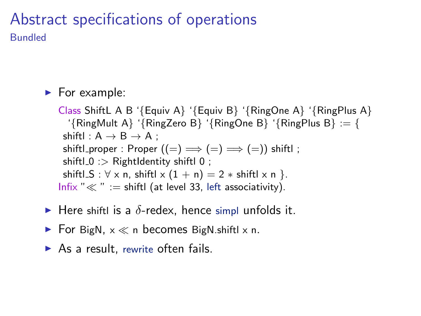#### Abstract specifications of operations Bundled

#### $\blacktriangleright$  For example:

Class ShiftL A B '{Equiv A} '{Equiv B} '{RingOne A} '{RingPlus A} '{RingMult A} '{RingZero B} '{RingOne B} '{RingPlus B} := { shiftl :  $A \rightarrow B \rightarrow A$  : shiftl\_proper : Proper  $((=) \implies (=) \implies (=))$  shiftl; shiftl $0$  :  $>$  RightIdentity shiftl $0$  ; shiftl  $S : \forall x$  n, shiftl  $x (1 + n) = 2 * \text{shift} |x n$ . Infix " $\ll$  " := shiftl (at level 33, left associativity).

- $\blacktriangleright$  Here shiftl is a  $\delta$ -redex, hence simpl unfolds it.
- For BigN,  $x \ll n$  becomes BigN shiftl x n.
- $\triangleright$  As a result, rewrite often fails.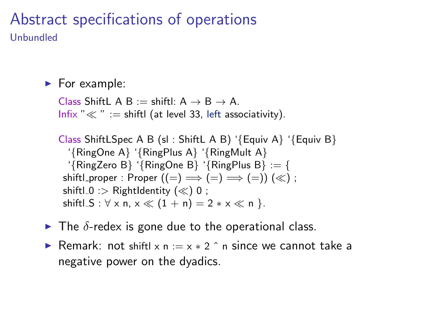#### Abstract specifications of operations Unbundled

 $\blacktriangleright$  For example:

Class ShiftL A B := shiftl:  $A \rightarrow B \rightarrow A$ . Infix " $\ll$ " := shiftl (at level 33, left associativity).

Class ShiftLSpec A B (sl : ShiftL A B) '{Equiv A} '{Equiv B} '{RingOne A} '{RingPlus A} '{RingMult A} '{RingZero B} '{RingOne B} '{RingPlus B} := { shiftl\_proper : Proper  $((=) \implies (=) \implies (=))$   $(\ll)$ ; shiftl\_0 :> RightIdentity  $(\ll)$  0; shiftl  $S : \forall x \, n, x \ll (1 + n) = 2 \cdot x \ll n$  }.

- $\blacktriangleright$  The  $\delta$ -redex is gone due to the operational class.
- **►** Remark: not shiftl x n :=  $x * 2$   $\hat{ }$  n since we cannot take a negative power on the dyadics.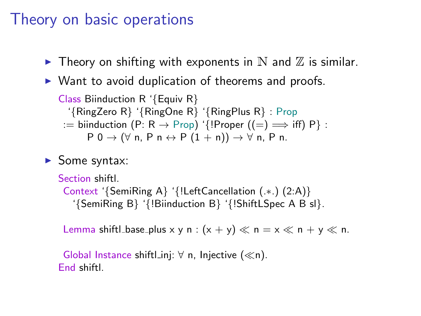### Theory on basic operations

- $\blacktriangleright$  Theory on shifting with exponents in N and  $\mathbb Z$  is similar.
- $\triangleright$  Want to avoid duplication of theorems and proofs.

```
Class Biinduction R '{Equiv R}
   '{RingZero R} '{RingOne R} '{RingPlus R} : Prop
 := biinduction (P: R \rightarrow Prop) '{!Proper ((=) \Longrightarrow iff) P} :
        P 0 \rightarrow (\forall n, P n \leftrightarrow P (1 + n)) \rightarrow \forall n, P n.
```
 $\blacktriangleright$  Some syntax:

```
Section shiftl.
 Context '{SemiRing A} '{!LeftCancellation (.∗.) (2:A)}
   '{SemiRing B} '{!Biinduction B} '{!ShiftLSpec A B sl}.
```
Lemma shiftl\_base\_plus x y n :  $(x + y) \ll n = x \ll n + y \ll n$ .

Global Instance shiftl\_inj:  $\forall$  n, Injective ( $\ll$ n). End shiftl.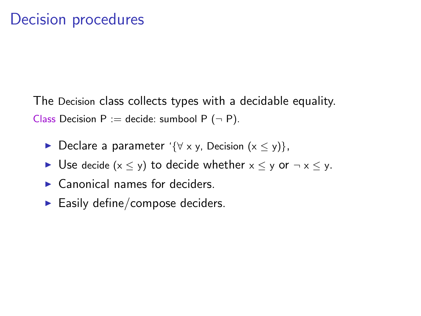The Decision class collects types with a decidable equality. Class Decision  $P :=$  decide: sumbool  $P(-P)$ .

- Declare a parameter '{ $\forall$  x y, Decision (x  $\le$  y)},
- ► Use decide  $(x \le y)$  to decide whether  $x \le y$  or  $\neg x \le y$ .
- $\blacktriangleright$  Canonical names for deciders.
- $\blacktriangleright$  Easily define/compose deciders.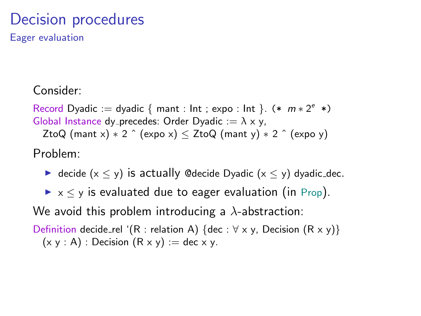# Decision procedures

Eager evaluation

Consider:

Record Dyadic := dyadic { mant : lnt ; expo : lnt }.  $(* m * 2<sup>e</sup> *)$ Global Instance dy precedes: Order Dyadic  $:= \lambda \times y$ , ZtoQ (mant x)  $* 2 \hat{ }$  (expo x)  $\le$  ZtoQ (mant y)  $* 2 \hat{ }$  (expo y) Problem:

 $\triangleright$  decide (x < y) is actually ©decide Dyadic (x < y) dyadic\_dec.

 $\triangleright$   $\times$   $\lt$  y is evaluated due to eager evaluation (in Prop).

We avoid this problem introducing a  $\lambda$ -abstraction:

Definition decide\_rel '(R : relation A) {dec :  $\forall x, y$ , Decision (R x y)}  $(x y : A)$ : Decision  $(R x y) := dec x y$ .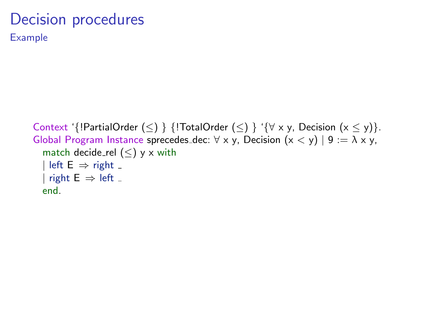# Decision procedures

Example

```
Context '{!PartialOrder (\leq) } {!TotalOrder (\leq) } '{\forall x y, Decision (x \leq y)}.
Global Program Instance sprecedes dec: \forall x, y, Decision (x < y) | 9 := \lambda x, y,
  match decide_rel (<) y x with
  | left E \Rightarrow right _
  | right E \Rightarrow left _
  end.
```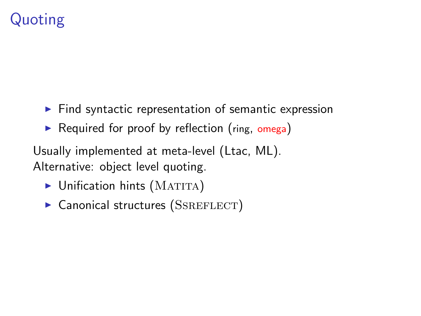# Quoting

- $\blacktriangleright$  Find syntactic representation of semantic expression
- $\triangleright$  Required for proof by reflection (ring, omega)

Usually implemented at meta-level (Ltac, ML). Alternative: object level quoting.

- $\blacktriangleright$  Unification hints (MATITA)
- $\triangleright$  Canonical structures (SSREFLECT)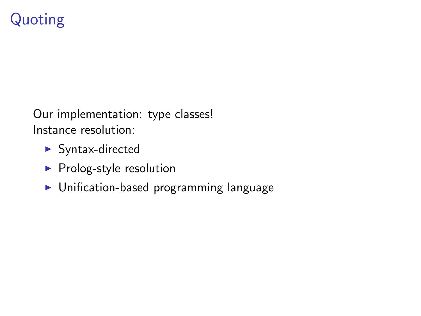# Quoting

Our implementation: type classes! Instance resolution:

- $\blacktriangleright$  Syntax-directed
- $\blacktriangleright$  Prolog-style resolution
- $\blacktriangleright$  Unification-based programming language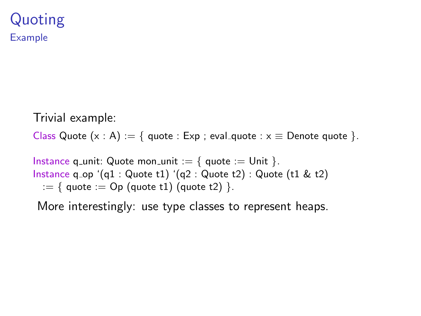Trivial example:

Class Quote  $(x : A) := \{$  quote : Exp ; eval\_quote :  $x \equiv$  Denote quote  $\}$ .

Instance q\_unit: Quote mon\_unit :=  $\{$  quote := Unit  $\}$ . Instance q\_op '(q1 : Quote t1) '(q2 : Quote t2) : Quote (t1 & t2)  $:= \{$  quote  $:=$  Op (quote t1) (quote t2)  $\}.$ 

More interestingly: use type classes to represent heaps.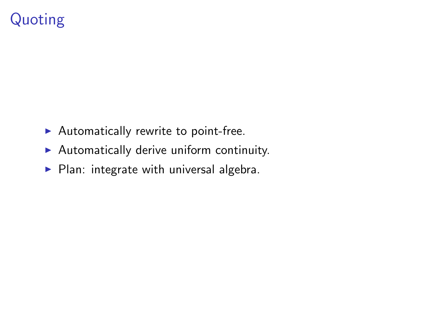# Quoting

- $\blacktriangleright$  Automatically rewrite to point-free.
- $\blacktriangleright$  Automatically derive uniform continuity.
- $\blacktriangleright$  Plan: integrate with universal algebra.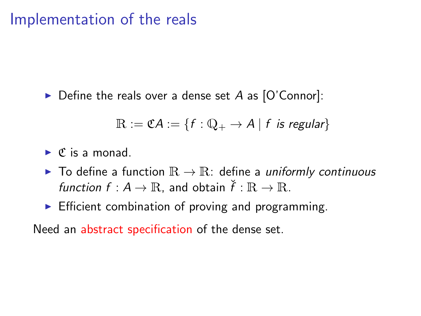$\triangleright$  Define the reals over a dense set A as [O'Connor]:

$$
\mathbb{R} := \mathfrak{C} A := \{ f : \mathbb{Q}_+ \to A \mid f \text{ is regular} \}
$$

 $\triangleright$  C is a monad.

- ▶ To define a function  $\mathbb{R} \to \mathbb{R}$ : define a *uniformly continuous* function  $f : A \to \mathbb{R}$ , and obtain  $\check{f} : \mathbb{R} \to \mathbb{R}$ .
- $\triangleright$  Efficient combination of proving and programming.

Need an abstract specification of the dense set.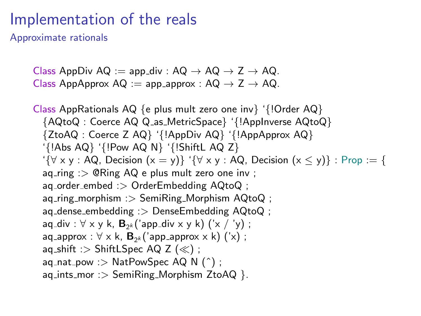Approximate rationals

Class AppDiv AQ := app\_div : AQ  $\rightarrow$  AQ  $\rightarrow$  Z  $\rightarrow$  AQ. Class AppApprox  $AQ := app\_approx : AQ \rightarrow Z \rightarrow AQ$ .

Class AppRationals AQ {e plus mult zero one inv} '{!Order AQ} {AQtoQ : Coerce AQ Q as MetricSpace} '{!AppInverse AQtoQ} {ZtoAQ : Coerce Z AQ} '{!AppDiv AQ} '{!AppApprox AQ} '{!Abs AQ} '{!Pow AQ N} '{!ShiftL AQ Z} ' $\{\forall x, y : AQ$ , Decision  $(x = y)\}$  ' $\{\forall x, y : AQ$ , Decision  $(x \le y)\}$  : Prop := {  $aq$ -ring :  $>$  @Ring AQ e plus mult zero one inv : aq\_order\_embed :> OrderEmbedding AQtoQ ;  $aq\_ring\_morphism$  :  $>$  SemiRing Morphism AQtoQ ;  $aq$ -dense embedding :  $>$  Dense Embedding AQtoQ ; aq\_div :  $\forall$  x y k,  $\mathbf{B}_{2^k}$ ('app\_div x y k) ('x / 'y) ;  $aq$ <sub>-</sub>approx :  $\forall$  x k,  $B_{2^k}$ ('app<sub>-</sub>approx x k) ('x) ; aq\_shift :> ShiftLSpec AQ Z  $(\ll)$ ;  $aq$ -nat pow :  $>$  NatPowSpec AQ N (^);  $aq\text{-ints}$  mor :  $>$  SemiRing Morphism ZtoAQ }.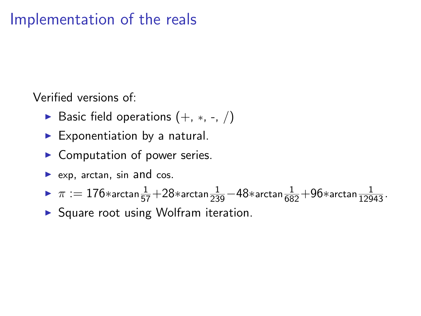Verified versions of:

- ► Basic field operations  $(+, *, -, /)$
- $\blacktriangleright$  Exponentiation by a natural.
- $\blacktriangleright$  Computation of power series.
- $\blacktriangleright$  exp, arctan, sin and cos.
- ►  $\pi := 176*$ arctan $\frac{1}{57}+28*$ arctan $\frac{1}{239}-48*$ arctan $\frac{1}{682}+96*$ arctan $\frac{1}{12943}$ .
- $\triangleright$  Square root using Wolfram iteration.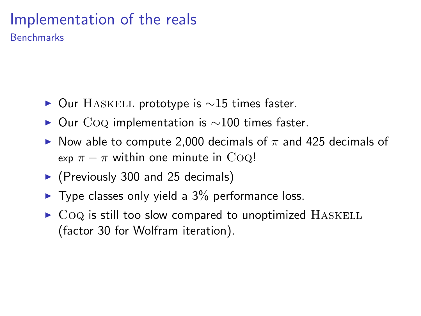**Benchmarks** 

- $\triangleright$  Our HASKELL prototype is  $\sim$ 15 times faster.
- $\triangleright$  Our CoQ implementation is  $\sim$ 100 times faster.
- Now able to compute 2,000 decimals of  $\pi$  and 425 decimals of exp  $\pi - \pi$  within one minute in CoQ!
- $\blacktriangleright$  (Previously 300 and 25 decimals)
- $\blacktriangleright$  Type classes only yield a 3% performance loss.
- $\triangleright$  CoQ is still too slow compared to unoptimized HASKELL (factor 30 for Wolfram iteration).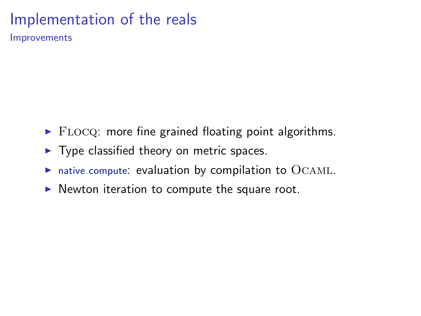Improvements

- $\blacktriangleright$  FLOCQ: more fine grained floating point algorithms.
- $\blacktriangleright$  Type classified theory on metric spaces.
- $\triangleright$  native compute: evaluation by compilation to  $OCAML$ .
- $\triangleright$  Newton iteration to compute the square root.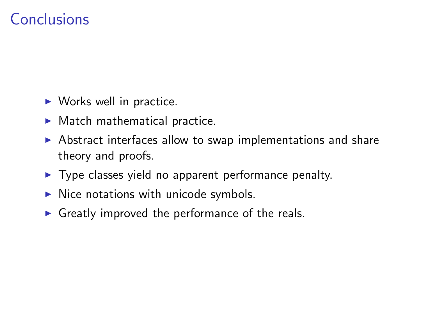## Conclusions

- $\triangleright$  Works well in practice.
- $\blacktriangleright$  Match mathematical practice.
- $\triangleright$  Abstract interfaces allow to swap implementations and share theory and proofs.
- $\blacktriangleright$  Type classes yield no apparent performance penalty.
- $\triangleright$  Nice notations with unicode symbols.
- $\triangleright$  Greatly improved the performance of the reals.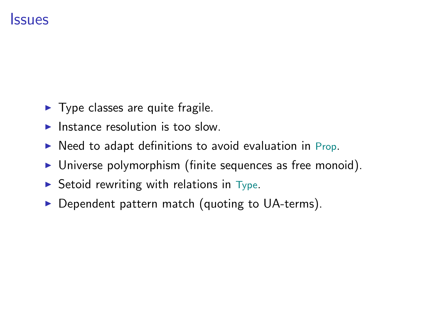### **Issues**

- $\blacktriangleright$  Type classes are quite fragile.
- $\blacktriangleright$  Instance resolution is too slow.
- $\triangleright$  Need to adapt definitions to avoid evaluation in Prop.
- $\triangleright$  Universe polymorphism (finite sequences as free monoid).
- $\triangleright$  Setoid rewriting with relations in Type.
- $\triangleright$  Dependent pattern match (quoting to UA-terms).